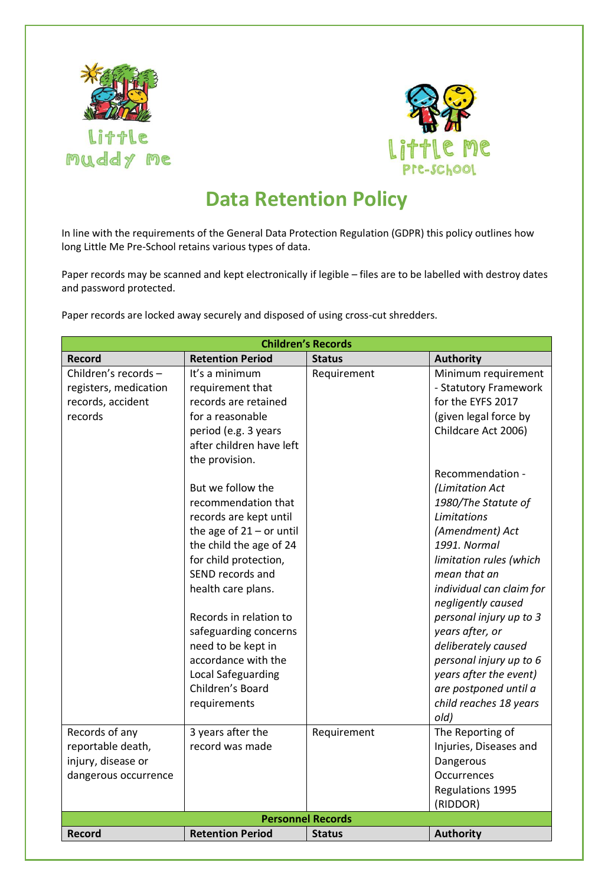



## **Data Retention Policy**

In line with the requirements of the General Data Protection Regulation (GDPR) this policy outlines how long Little Me Pre-School retains various types of data.

Paper records may be scanned and kept electronically if legible – files are to be labelled with destroy dates and password protected.

Paper records are locked away securely and disposed of using cross-cut shredders.

| <b>Children's Records</b> |                            |               |                          |  |  |
|---------------------------|----------------------------|---------------|--------------------------|--|--|
| <b>Record</b>             | <b>Retention Period</b>    | <b>Status</b> | <b>Authority</b>         |  |  |
| Children's records-       | It's a minimum             | Requirement   | Minimum requirement      |  |  |
| registers, medication     | requirement that           |               | - Statutory Framework    |  |  |
| records, accident         | records are retained       |               | for the EYFS 2017        |  |  |
| records                   | for a reasonable           |               | (given legal force by    |  |  |
|                           | period (e.g. 3 years       |               | Childcare Act 2006)      |  |  |
|                           | after children have left   |               |                          |  |  |
|                           | the provision.             |               |                          |  |  |
|                           |                            |               | Recommendation -         |  |  |
|                           | But we follow the          |               | (Limitation Act          |  |  |
|                           | recommendation that        |               | 1980/The Statute of      |  |  |
|                           | records are kept until     |               | Limitations              |  |  |
|                           | the age of $21 -$ or until |               | (Amendment) Act          |  |  |
|                           | the child the age of 24    |               | 1991. Normal             |  |  |
|                           | for child protection,      |               | limitation rules (which  |  |  |
|                           | SEND records and           |               | mean that an             |  |  |
|                           | health care plans.         |               | individual can claim for |  |  |
|                           |                            |               | negligently caused       |  |  |
|                           | Records in relation to     |               | personal injury up to 3  |  |  |
|                           | safeguarding concerns      |               | years after, or          |  |  |
|                           | need to be kept in         |               | deliberately caused      |  |  |
|                           | accordance with the        |               | personal injury up to 6  |  |  |
|                           | Local Safeguarding         |               | years after the event)   |  |  |
|                           | Children's Board           |               | are postponed until a    |  |  |
|                           | requirements               |               | child reaches 18 years   |  |  |
|                           |                            |               | old)                     |  |  |
| Records of any            | 3 years after the          | Requirement   | The Reporting of         |  |  |
| reportable death,         | record was made            |               | Injuries, Diseases and   |  |  |
| injury, disease or        |                            |               | Dangerous                |  |  |
| dangerous occurrence      |                            |               | Occurrences              |  |  |
|                           |                            |               | Regulations 1995         |  |  |
|                           |                            |               | (RIDDOR)                 |  |  |
|                           | <b>Personnel Records</b>   |               |                          |  |  |
| <b>Record</b>             | <b>Retention Period</b>    | <b>Status</b> | <b>Authority</b>         |  |  |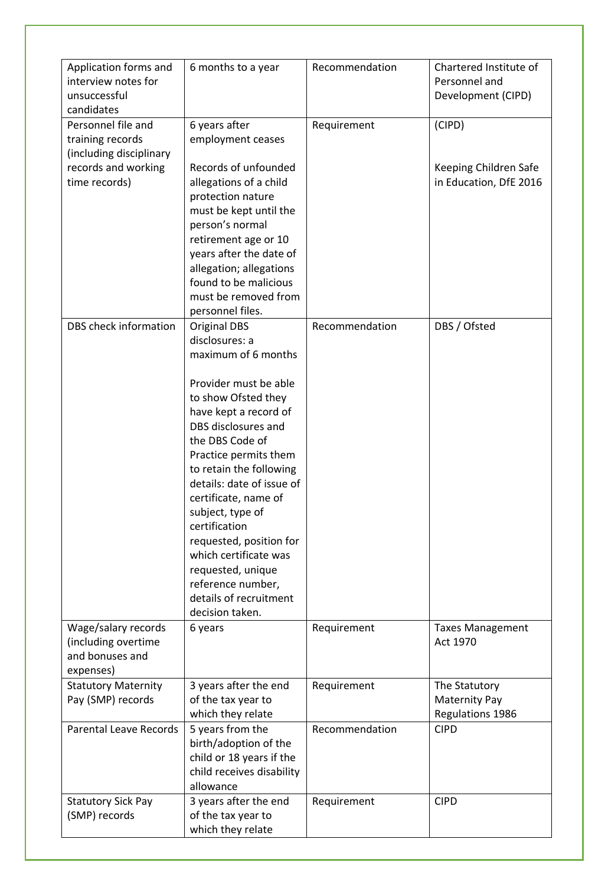| Application forms and         | 6 months to a year        | Recommendation | Chartered Institute of  |
|-------------------------------|---------------------------|----------------|-------------------------|
| interview notes for           |                           |                | Personnel and           |
| unsuccessful                  |                           |                | Development (CIPD)      |
| candidates                    |                           |                |                         |
| Personnel file and            | 6 years after             | Requirement    | (CIPD)                  |
| training records              | employment ceases         |                |                         |
| (including disciplinary       |                           |                |                         |
| records and working           | Records of unfounded      |                | Keeping Children Safe   |
| time records)                 | allegations of a child    |                | in Education, DfE 2016  |
|                               | protection nature         |                |                         |
|                               | must be kept until the    |                |                         |
|                               | person's normal           |                |                         |
|                               | retirement age or 10      |                |                         |
|                               | years after the date of   |                |                         |
|                               | allegation; allegations   |                |                         |
|                               | found to be malicious     |                |                         |
|                               | must be removed from      |                |                         |
|                               | personnel files.          |                |                         |
| DBS check information         | <b>Original DBS</b>       | Recommendation | DBS / Ofsted            |
|                               | disclosures: a            |                |                         |
|                               | maximum of 6 months       |                |                         |
|                               |                           |                |                         |
|                               | Provider must be able     |                |                         |
|                               | to show Ofsted they       |                |                         |
|                               | have kept a record of     |                |                         |
|                               | DBS disclosures and       |                |                         |
|                               | the DBS Code of           |                |                         |
|                               | Practice permits them     |                |                         |
|                               | to retain the following   |                |                         |
|                               | details: date of issue of |                |                         |
|                               | certificate, name of      |                |                         |
|                               | subject, type of          |                |                         |
|                               | certification             |                |                         |
|                               | requested, position for   |                |                         |
|                               | which certificate was     |                |                         |
|                               | requested, unique         |                |                         |
|                               | reference number,         |                |                         |
|                               | details of recruitment    |                |                         |
|                               | decision taken.           |                |                         |
| Wage/salary records           | 6 years                   | Requirement    | <b>Taxes Management</b> |
| (including overtime           |                           |                | Act 1970                |
| and bonuses and               |                           |                |                         |
| expenses)                     |                           |                |                         |
| <b>Statutory Maternity</b>    | 3 years after the end     | Requirement    | The Statutory           |
| Pay (SMP) records             | of the tax year to        |                | <b>Maternity Pay</b>    |
|                               | which they relate         |                | Regulations 1986        |
| <b>Parental Leave Records</b> | 5 years from the          | Recommendation | <b>CIPD</b>             |
|                               | birth/adoption of the     |                |                         |
|                               | child or 18 years if the  |                |                         |
|                               | child receives disability |                |                         |
|                               | allowance                 |                |                         |
| <b>Statutory Sick Pay</b>     | 3 years after the end     | Requirement    | <b>CIPD</b>             |
| (SMP) records                 | of the tax year to        |                |                         |
|                               | which they relate         |                |                         |
|                               |                           |                |                         |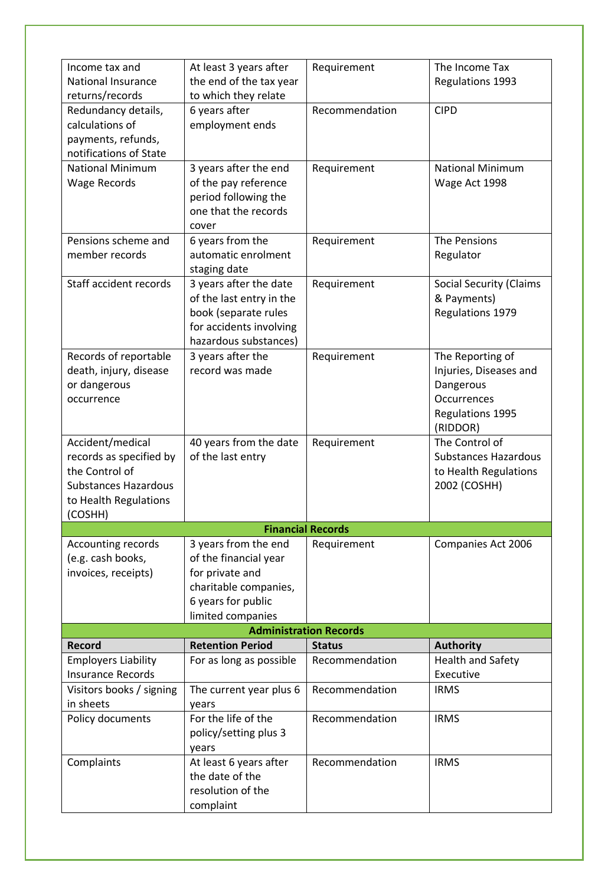| Income tax and                | At least 3 years after   | Requirement              | The Income Tax                 |  |  |  |
|-------------------------------|--------------------------|--------------------------|--------------------------------|--|--|--|
| <b>National Insurance</b>     | the end of the tax year  |                          | Regulations 1993               |  |  |  |
| returns/records               | to which they relate     |                          |                                |  |  |  |
| Redundancy details,           | 6 years after            | Recommendation           | <b>CIPD</b>                    |  |  |  |
| calculations of               | employment ends          |                          |                                |  |  |  |
| payments, refunds,            |                          |                          |                                |  |  |  |
| notifications of State        |                          |                          |                                |  |  |  |
|                               |                          |                          |                                |  |  |  |
| <b>National Minimum</b>       | 3 years after the end    | Requirement              | <b>National Minimum</b>        |  |  |  |
| <b>Wage Records</b>           | of the pay reference     |                          | Wage Act 1998                  |  |  |  |
|                               | period following the     |                          |                                |  |  |  |
|                               | one that the records     |                          |                                |  |  |  |
|                               | cover                    |                          |                                |  |  |  |
| Pensions scheme and           | 6 years from the         | Requirement              | The Pensions                   |  |  |  |
| member records                | automatic enrolment      |                          | Regulator                      |  |  |  |
|                               | staging date             |                          |                                |  |  |  |
| Staff accident records        | 3 years after the date   | Requirement              | <b>Social Security (Claims</b> |  |  |  |
|                               | of the last entry in the |                          | & Payments)                    |  |  |  |
|                               | book (separate rules     |                          | Regulations 1979               |  |  |  |
|                               | for accidents involving  |                          |                                |  |  |  |
|                               |                          |                          |                                |  |  |  |
|                               | hazardous substances)    |                          |                                |  |  |  |
| Records of reportable         | 3 years after the        | Requirement              | The Reporting of               |  |  |  |
| death, injury, disease        | record was made          |                          | Injuries, Diseases and         |  |  |  |
| or dangerous                  |                          |                          | Dangerous                      |  |  |  |
| occurrence                    |                          |                          | Occurrences                    |  |  |  |
|                               |                          |                          | Regulations 1995               |  |  |  |
|                               |                          |                          | (RIDDOR)                       |  |  |  |
| Accident/medical              | 40 years from the date   | Requirement              | The Control of                 |  |  |  |
| records as specified by       | of the last entry        |                          | <b>Substances Hazardous</b>    |  |  |  |
| the Control of                |                          |                          | to Health Regulations          |  |  |  |
| <b>Substances Hazardous</b>   |                          |                          | 2002 (COSHH)                   |  |  |  |
| to Health Regulations         |                          |                          |                                |  |  |  |
| (COSHH)                       |                          |                          |                                |  |  |  |
|                               |                          | <b>Financial Records</b> |                                |  |  |  |
| Accounting records            | 3 years from the end     | Requirement              | Companies Act 2006             |  |  |  |
| (e.g. cash books,             | of the financial year    |                          |                                |  |  |  |
|                               |                          |                          |                                |  |  |  |
| invoices, receipts)           | for private and          |                          |                                |  |  |  |
|                               | charitable companies,    |                          |                                |  |  |  |
|                               | 6 years for public       |                          |                                |  |  |  |
|                               | limited companies        |                          |                                |  |  |  |
| <b>Administration Records</b> |                          |                          |                                |  |  |  |
| <b>Record</b>                 | <b>Retention Period</b>  | <b>Status</b>            | <b>Authority</b>               |  |  |  |
| <b>Employers Liability</b>    | For as long as possible  | Recommendation           | <b>Health and Safety</b>       |  |  |  |
| <b>Insurance Records</b>      |                          |                          | Executive                      |  |  |  |
| Visitors books / signing      | The current year plus 6  | Recommendation           | <b>IRMS</b>                    |  |  |  |
| in sheets                     | years                    |                          |                                |  |  |  |
| Policy documents              | For the life of the      | Recommendation           | <b>IRMS</b>                    |  |  |  |
|                               | policy/setting plus 3    |                          |                                |  |  |  |
|                               | years                    |                          |                                |  |  |  |
| Complaints                    | At least 6 years after   | Recommendation           | <b>IRMS</b>                    |  |  |  |
|                               | the date of the          |                          |                                |  |  |  |
|                               | resolution of the        |                          |                                |  |  |  |
|                               | complaint                |                          |                                |  |  |  |
|                               |                          |                          |                                |  |  |  |